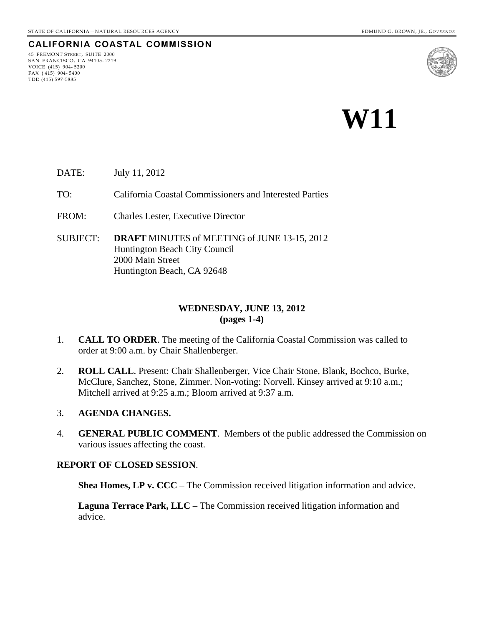# **CALIFORNIA COASTAL COMMISSION**

45 FREMONT STREET, SUITE 2000 SAN FRANCISCO, CA 94105- 2219 VOICE (415) 904- 5200 FAX ( 415) 904- 5400 TDD (415) 597-5885



# **W11**

DATE: July 11, 2012

TO: California Coastal Commissioners and Interested Parties

- FROM: Charles Lester, Executive Director
- SUBJECT: **DRAFT** MINUTES of MEETING of JUNE 13-15, 2012 Huntington Beach City Council 2000 Main Street Huntington Beach, CA 92648

#### **WEDNESDAY, JUNE 13, 2012 (pages 1-4)**

- 1. **CALL TO ORDER**. The meeting of the California Coastal Commission was called to order at 9:00 a.m. by Chair Shallenberger.
- 2. **ROLL CALL**. Present: Chair Shallenberger, Vice Chair Stone, Blank, Bochco, Burke, McClure, Sanchez, Stone, Zimmer. Non-voting: Norvell. Kinsey arrived at 9:10 a.m.; Mitchell arrived at 9:25 a.m.; Bloom arrived at 9:37 a.m.

#### 3. **AGENDA CHANGES.**

4. **GENERAL PUBLIC COMMENT**. Members of the public addressed the Commission on various issues affecting the coast.

#### **REPORT OF CLOSED SESSION**.

**Shea Homes, LP v. CCC** – The Commission received litigation information and advice.

**Laguna Terrace Park, LLC** – The Commission received litigation information and advice.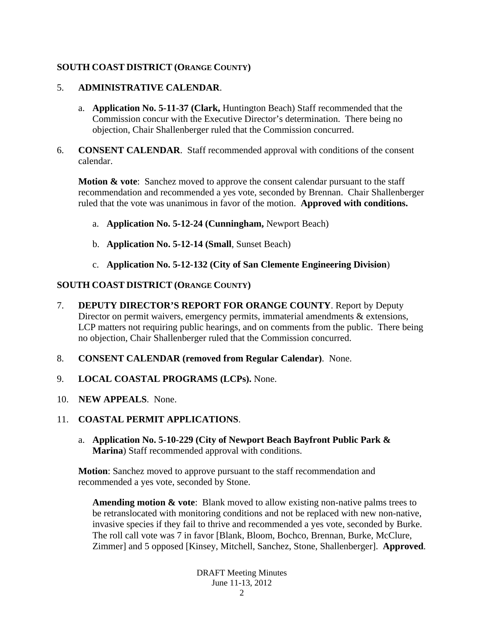# **SOUTH COAST DISTRICT (ORANGE COUNTY)**

#### 5. **ADMINISTRATIVE CALENDAR**.

- a. **Application No. 5-11-37 (Clark,** Huntington Beach) Staff recommended that the Commission concur with the Executive Director's determination. There being no objection, Chair Shallenberger ruled that the Commission concurred.
- 6. **CONSENT CALENDAR**. Staff recommended approval with conditions of the consent calendar.

**Motion & vote:** Sanchez moved to approve the consent calendar pursuant to the staff recommendation and recommended a yes vote, seconded by Brennan. Chair Shallenberger ruled that the vote was unanimous in favor of the motion. **Approved with conditions.**

- a. **Application No. 5-12-24 (Cunningham,** Newport Beach)
- b. **Application No. 5-12-14 (Small**, Sunset Beach)
- c. **Application No. 5-12-132 (City of San Clemente Engineering Division**)

#### **SOUTH COAST DISTRICT (ORANGE COUNTY)**

- 7. **DEPUTY DIRECTOR'S REPORT FOR ORANGE COUNTY**. Report by Deputy Director on permit waivers, emergency permits, immaterial amendments & extensions, LCP matters not requiring public hearings, and on comments from the public. There being no objection, Chair Shallenberger ruled that the Commission concurred.
- 8. **CONSENT CALENDAR (removed from Regular Calendar)**. None.
- 9. **LOCAL COASTAL PROGRAMS (LCPs).** None.
- 10. **NEW APPEALS**. None.
- 11. **COASTAL PERMIT APPLICATIONS**.
	- a. **Application No. 5-10-229 (City of Newport Beach Bayfront Public Park & Marina**) Staff recommended approval with conditions.

**Motion**: Sanchez moved to approve pursuant to the staff recommendation and recommended a yes vote, seconded by Stone.

**Amending motion & vote**: Blank moved to allow existing non-native palms trees to be retranslocated with monitoring conditions and not be replaced with new non-native, invasive species if they fail to thrive and recommended a yes vote, seconded by Burke. The roll call vote was 7 in favor [Blank, Bloom, Bochco, Brennan, Burke, McClure, Zimmer] and 5 opposed [Kinsey, Mitchell, Sanchez, Stone, Shallenberger]. **Approved**.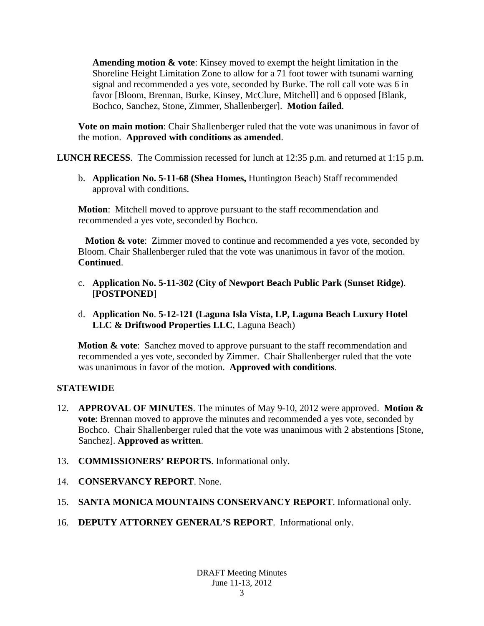**Amending motion & vote**: Kinsey moved to exempt the height limitation in the Shoreline Height Limitation Zone to allow for a 71 foot tower with tsunami warning signal and recommended a yes vote, seconded by Burke. The roll call vote was 6 in favor [Bloom, Brennan, Burke, Kinsey, McClure, Mitchell] and 6 opposed [Blank, Bochco, Sanchez, Stone, Zimmer, Shallenberger]. **Motion failed**.

**Vote on main motion**: Chair Shallenberger ruled that the vote was unanimous in favor of the motion. **Approved with conditions as amended**.

**LUNCH RECESS**. The Commission recessed for lunch at 12:35 p.m. and returned at 1:15 p.m.

b. **Application No. 5-11-68 (Shea Homes,** Huntington Beach) Staff recommended approval with conditions.

**Motion**: Mitchell moved to approve pursuant to the staff recommendation and recommended a yes vote, seconded by Bochco.

**Motion & vote**: Zimmer moved to continue and recommended a yes vote, seconded by Bloom. Chair Shallenberger ruled that the vote was unanimous in favor of the motion. **Continued**.

- c. **Application No. 5-11-302 (City of Newport Beach Public Park (Sunset Ridge)**. [**POSTPONED**]
- d. **Application No**. **5-12-121 (Laguna Isla Vista, LP, Laguna Beach Luxury Hotel LLC & Driftwood Properties LLC**, Laguna Beach)

**Motion & vote:** Sanchez moved to approve pursuant to the staff recommendation and recommended a yes vote, seconded by Zimmer. Chair Shallenberger ruled that the vote was unanimous in favor of the motion. **Approved with conditions**.

# **STATEWIDE**

- 12. **APPROVAL OF MINUTES**. The minutes of May 9-10, 2012 were approved. **Motion & vote**: Brennan moved to approve the minutes and recommended a yes vote, seconded by Bochco. Chair Shallenberger ruled that the vote was unanimous with 2 abstentions [Stone, Sanchez]. **Approved as written**.
- 13. **COMMISSIONERS' REPORTS**. Informational only.
- 14. **CONSERVANCY REPORT**. None.
- 15. **SANTA MONICA MOUNTAINS CONSERVANCY REPORT**. Informational only.
- 16. **DEPUTY ATTORNEY GENERAL'S REPORT**. Informational only.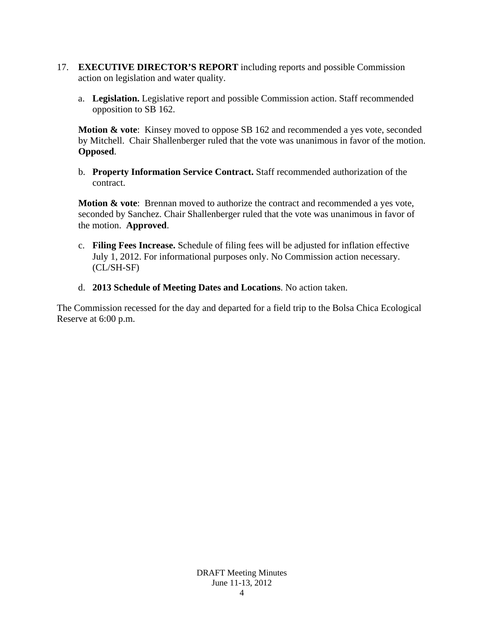- 17. **EXECUTIVE DIRECTOR'S REPORT** including reports and possible Commission action on legislation and water quality.
	- a. **Legislation.** Legislative report and possible Commission action. Staff recommended opposition to SB 162.

**Motion & vote:** Kinsey moved to oppose SB 162 and recommended a yes vote, seconded by Mitchell. Chair Shallenberger ruled that the vote was unanimous in favor of the motion. **Opposed**.

b. **Property Information Service Contract.** Staff recommended authorization of the contract.

**Motion & vote**: Brennan moved to authorize the contract and recommended a yes vote, seconded by Sanchez. Chair Shallenberger ruled that the vote was unanimous in favor of the motion. **Approved**.

- c. **Filing Fees Increase.** Schedule of filing fees will be adjusted for inflation effective July 1, 2012. For informational purposes only. No Commission action necessary. (CL/SH-SF)
- d. **2013 Schedule of Meeting Dates and Locations**. No action taken.

The Commission recessed for the day and departed for a field trip to the Bolsa Chica Ecological Reserve at 6:00 p.m.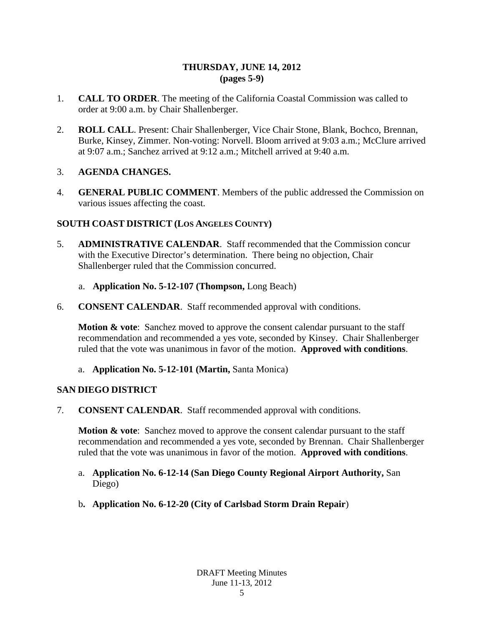## **THURSDAY, JUNE 14, 2012 (pages 5-9)**

- 1. **CALL TO ORDER**. The meeting of the California Coastal Commission was called to order at 9:00 a.m. by Chair Shallenberger.
- 2. **ROLL CALL**. Present: Chair Shallenberger, Vice Chair Stone, Blank, Bochco, Brennan, Burke, Kinsey, Zimmer. Non-voting: Norvell. Bloom arrived at 9:03 a.m.; McClure arrived at 9:07 a.m.; Sanchez arrived at 9:12 a.m.; Mitchell arrived at 9:40 a.m.

## 3. **AGENDA CHANGES.**

4. **GENERAL PUBLIC COMMENT**. Members of the public addressed the Commission on various issues affecting the coast.

## **SOUTH COAST DISTRICT (LOS ANGELES COUNTY)**

- 5. **ADMINISTRATIVE CALENDAR**. Staff recommended that the Commission concur with the Executive Director's determination. There being no objection, Chair Shallenberger ruled that the Commission concurred.
	- a. **Application No. 5-12-107 (Thompson,** Long Beach)
- 6. **CONSENT CALENDAR**. Staff recommended approval with conditions.

**Motion & vote:** Sanchez moved to approve the consent calendar pursuant to the staff recommendation and recommended a yes vote, seconded by Kinsey. Chair Shallenberger ruled that the vote was unanimous in favor of the motion. **Approved with conditions**.

## a. **Application No. 5-12-101 (Martin,** Santa Monica)

## **SAN DIEGO DISTRICT**

7. **CONSENT CALENDAR**. Staff recommended approval with conditions.

**Motion & vote:** Sanchez moved to approve the consent calendar pursuant to the staff recommendation and recommended a yes vote, seconded by Brennan. Chair Shallenberger ruled that the vote was unanimous in favor of the motion. **Approved with conditions**.

- a. **Application No. 6-12-14 (San Diego County Regional Airport Authority,** San Diego)
- b**. Application No. 6-12-20 (City of Carlsbad Storm Drain Repair**)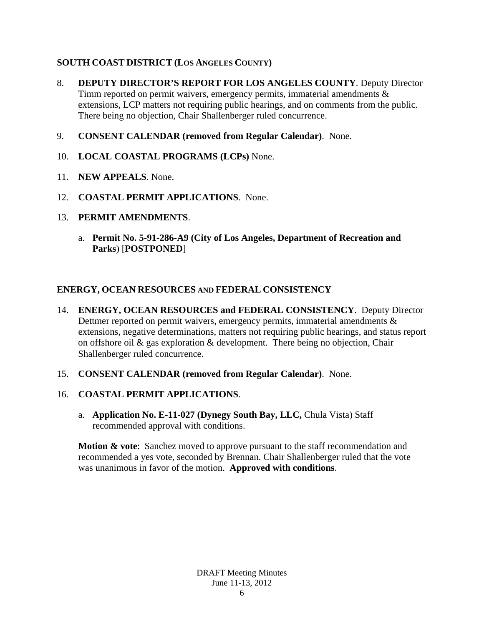# **SOUTH COAST DISTRICT (LOS ANGELES COUNTY)**

- 8. **DEPUTY DIRECTOR'S REPORT FOR LOS ANGELES COUNTY**. Deputy Director Timm reported on permit waivers, emergency permits, immaterial amendments & extensions, LCP matters not requiring public hearings, and on comments from the public. There being no objection, Chair Shallenberger ruled concurrence.
- 9. **CONSENT CALENDAR (removed from Regular Calendar)**. None.
- 10. **LOCAL COASTAL PROGRAMS (LCPs)** None.
- 11. **NEW APPEALS**. None.
- 12. **COASTAL PERMIT APPLICATIONS**. None.
- 13. **PERMIT AMENDMENTS**.
	- a. **Permit No. 5-91-286-A9 (City of Los Angeles, Department of Recreation and Parks**) [**POSTPONED**]

# **ENERGY, OCEAN RESOURCES AND FEDERAL CONSISTENCY**

- 14. **ENERGY, OCEAN RESOURCES and FEDERAL CONSISTENCY**. Deputy Director Dettmer reported on permit waivers, emergency permits, immaterial amendments  $\&$ extensions, negative determinations, matters not requiring public hearings, and status report on offshore oil & gas exploration & development. There being no objection, Chair Shallenberger ruled concurrence.
- 15. **CONSENT CALENDAR (removed from Regular Calendar)**. None.

## 16. **COASTAL PERMIT APPLICATIONS**.

a. **Application No. E-11-027 (Dynegy South Bay, LLC,** Chula Vista) Staff recommended approval with conditions.

**Motion & vote:** Sanchez moved to approve pursuant to the staff recommendation and recommended a yes vote, seconded by Brennan. Chair Shallenberger ruled that the vote was unanimous in favor of the motion. **Approved with conditions**.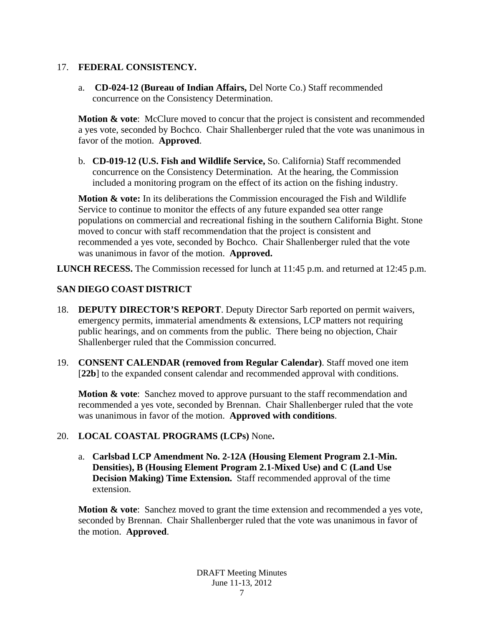## 17. **FEDERAL CONSISTENCY.**

a. **CD-024-12 (Bureau of Indian Affairs,** Del Norte Co.) Staff recommended concurrence on the Consistency Determination.

**Motion & vote:** McClure moved to concur that the project is consistent and recommended a yes vote, seconded by Bochco. Chair Shallenberger ruled that the vote was unanimous in favor of the motion. **Approved**.

b. **CD-019-12 (U.S. Fish and Wildlife Service,** So. California) Staff recommended concurrence on the Consistency Determination. At the hearing, the Commission included a monitoring program on the effect of its action on the fishing industry.

**Motion & vote:** In its deliberations the Commission encouraged the Fish and Wildlife Service to continue to monitor the effects of any future expanded sea otter range populations on commercial and recreational fishing in the southern California Bight. Stone moved to concur with staff recommendation that the project is consistent and recommended a yes vote, seconded by Bochco. Chair Shallenberger ruled that the vote was unanimous in favor of the motion. **Approved.** 

**LUNCH RECESS.** The Commission recessed for lunch at 11:45 p.m. and returned at 12:45 p.m.

# **SAN DIEGO COAST DISTRICT**

- 18. **DEPUTY DIRECTOR'S REPORT**. Deputy Director Sarb reported on permit waivers, emergency permits, immaterial amendments & extensions, LCP matters not requiring public hearings, and on comments from the public. There being no objection, Chair Shallenberger ruled that the Commission concurred.
- 19. **CONSENT CALENDAR (removed from Regular Calendar)**. Staff moved one item [22b] to the expanded consent calendar and recommended approval with conditions.

**Motion & vote**: Sanchez moved to approve pursuant to the staff recommendation and recommended a yes vote, seconded by Brennan. Chair Shallenberger ruled that the vote was unanimous in favor of the motion. **Approved with conditions**.

## 20. **LOCAL COASTAL PROGRAMS (LCPs)** None**.**

a. **Carlsbad LCP Amendment No. 2-12A (Housing Element Program 2.1-Min. Densities), B (Housing Element Program 2.1-Mixed Use) and C (Land Use Decision Making) Time Extension.** Staff recommended approval of the time extension.

**Motion & vote**: Sanchez moved to grant the time extension and recommended a yes vote, seconded by Brennan. Chair Shallenberger ruled that the vote was unanimous in favor of the motion. **Approved**.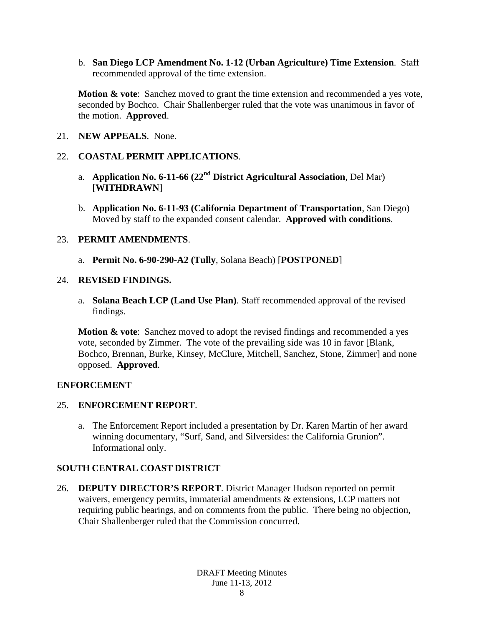b. **San Diego LCP Amendment No. 1-12 (Urban Agriculture) Time Extension**. Staff recommended approval of the time extension.

**Motion & vote**: Sanchez moved to grant the time extension and recommended a yes vote, seconded by Bochco. Chair Shallenberger ruled that the vote was unanimous in favor of the motion. **Approved**.

21. **NEW APPEALS**. None.

## 22. **COASTAL PERMIT APPLICATIONS**.

- a. **Application No. 6-11-66 (22nd District Agricultural Association**, Del Mar) [**WITHDRAWN**]
- b. **Application No. 6-11-93 (California Department of Transportation**, San Diego) Moved by staff to the expanded consent calendar. **Approved with conditions**.

#### 23. **PERMIT AMENDMENTS**.

a. **Permit No. 6-90-290-A2 (Tully**, Solana Beach) [**POSTPONED**]

#### 24. **REVISED FINDINGS.**

a. **Solana Beach LCP (Land Use Plan)**. Staff recommended approval of the revised findings.

**Motion & vote**: Sanchez moved to adopt the revised findings and recommended a yes vote, seconded by Zimmer. The vote of the prevailing side was 10 in favor [Blank, Bochco, Brennan, Burke, Kinsey, McClure, Mitchell, Sanchez, Stone, Zimmer] and none opposed. **Approved**.

#### **ENFORCEMENT**

#### 25. **ENFORCEMENT REPORT**.

a. The Enforcement Report included a presentation by Dr. Karen Martin of her award winning documentary, "Surf, Sand, and Silversides: the California Grunion". Informational only.

## **SOUTH CENTRAL COAST DISTRICT**

26. **DEPUTY DIRECTOR'S REPORT**. District Manager Hudson reported on permit waivers, emergency permits, immaterial amendments & extensions, LCP matters not requiring public hearings, and on comments from the public. There being no objection, Chair Shallenberger ruled that the Commission concurred.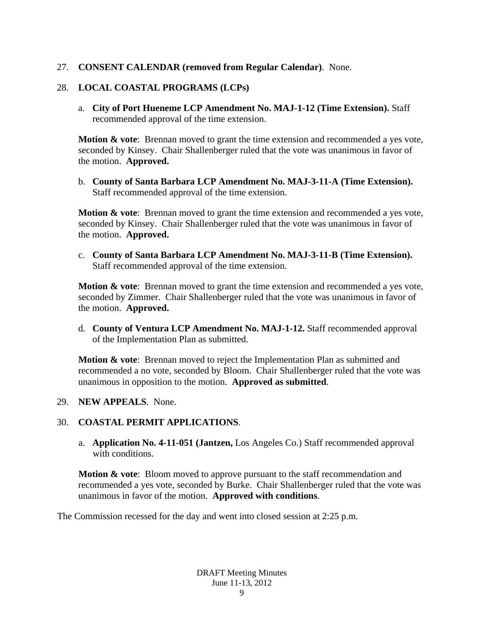#### 27. **CONSENT CALENDAR (removed from Regular Calendar)**. None.

#### 28. **LOCAL COASTAL PROGRAMS (LCPs)**

a. **City of Port Hueneme LCP Amendment No. MAJ-1-12 (Time Extension).** Staff recommended approval of the time extension.

**Motion & vote:** Brennan moved to grant the time extension and recommended a yes vote, seconded by Kinsey. Chair Shallenberger ruled that the vote was unanimous in favor of the motion. **Approved.**

b. **County of Santa Barbara LCP Amendment No. MAJ-3-11-A (Time Extension).** Staff recommended approval of the time extension.

**Motion & vote:** Brennan moved to grant the time extension and recommended a yes vote, seconded by Kinsey. Chair Shallenberger ruled that the vote was unanimous in favor of the motion. **Approved.**

c. **County of Santa Barbara LCP Amendment No. MAJ-3-11-B (Time Extension).**  Staff recommended approval of the time extension.

**Motion & vote:** Brennan moved to grant the time extension and recommended a yes vote, seconded by Zimmer. Chair Shallenberger ruled that the vote was unanimous in favor of the motion. **Approved.**

d. **County of Ventura LCP Amendment No. MAJ-1-12.** Staff recommended approval of the Implementation Plan as submitted.

**Motion & vote:** Brennan moved to reject the Implementation Plan as submitted and recommended a no vote, seconded by Bloom. Chair Shallenberger ruled that the vote was unanimous in opposition to the motion. **Approved as submitted**.

#### 29. **NEW APPEALS**. None.

#### 30. **COASTAL PERMIT APPLICATIONS**.

a. **Application No. 4-11-051 (Jantzen,** Los Angeles Co.) Staff recommended approval with conditions.

**Motion & vote**: Bloom moved to approve pursuant to the staff recommendation and recommended a yes vote, seconded by Burke. Chair Shallenberger ruled that the vote was unanimous in favor of the motion. **Approved with conditions**.

The Commission recessed for the day and went into closed session at 2:25 p.m.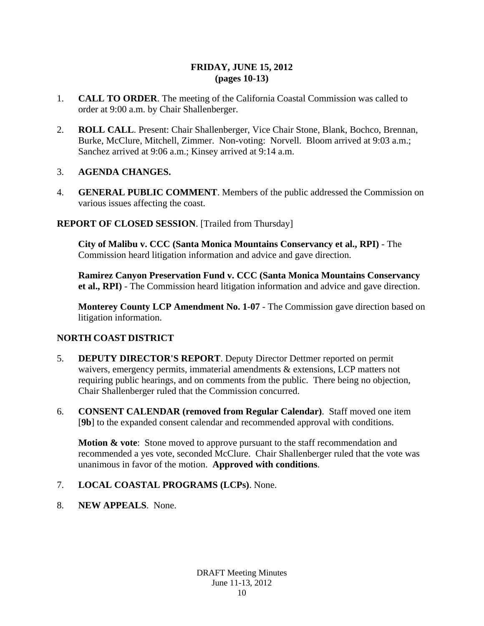## **FRIDAY, JUNE 15, 2012 (pages 10-13)**

- 1. **CALL TO ORDER**. The meeting of the California Coastal Commission was called to order at 9:00 a.m. by Chair Shallenberger.
- 2. **ROLL CALL**. Present: Chair Shallenberger, Vice Chair Stone, Blank, Bochco, Brennan, Burke, McClure, Mitchell, Zimmer. Non-voting: Norvell. Bloom arrived at 9:03 a.m.; Sanchez arrived at 9:06 a.m.; Kinsey arrived at 9:14 a.m.

#### 3. **AGENDA CHANGES.**

4. **GENERAL PUBLIC COMMENT**. Members of the public addressed the Commission on various issues affecting the coast.

## **REPORT OF CLOSED SESSION**. [Trailed from Thursday]

**City of Malibu v. CCC (Santa Monica Mountains Conservancy et al., RPI)** - The Commission heard litigation information and advice and gave direction.

**Ramirez Canyon Preservation Fund v. CCC (Santa Monica Mountains Conservancy et al., RPI)** - The Commission heard litigation information and advice and gave direction.

**Monterey County LCP Amendment No. 1-07** - The Commission gave direction based on litigation information.

#### **NORTH COAST DISTRICT**

- 5. **DEPUTY DIRECTOR'S REPORT**. Deputy Director Dettmer reported on permit waivers, emergency permits, immaterial amendments & extensions, LCP matters not requiring public hearings, and on comments from the public. There being no objection, Chair Shallenberger ruled that the Commission concurred.
- 6. **CONSENT CALENDAR (removed from Regular Calendar)**. Staff moved one item [**9b**] to the expanded consent calendar and recommended approval with conditions.

**Motion & vote:** Stone moved to approve pursuant to the staff recommendation and recommended a yes vote, seconded McClure. Chair Shallenberger ruled that the vote was unanimous in favor of the motion. **Approved with conditions**.

- 7. **LOCAL COASTAL PROGRAMS (LCPs)**. None.
- 8. **NEW APPEALS**. None.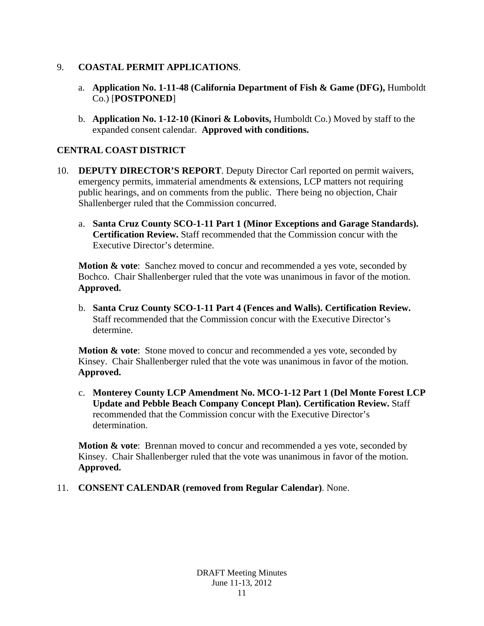## 9. **COASTAL PERMIT APPLICATIONS**.

- a. **Application No. 1-11-48 (California Department of Fish & Game (DFG),** Humboldt Co.) [**POSTPONED**]
- b. **Application No. 1-12-10 (Kinori & Lobovits,** Humboldt Co.) Moved by staff to the expanded consent calendar. **Approved with conditions.**

# **CENTRAL COAST DISTRICT**

- 10. **DEPUTY DIRECTOR'S REPORT**. Deputy Director Carl reported on permit waivers, emergency permits, immaterial amendments & extensions, LCP matters not requiring public hearings, and on comments from the public. There being no objection, Chair Shallenberger ruled that the Commission concurred.
	- a. **Santa Cruz County SCO-1-11 Part 1 (Minor Exceptions and Garage Standards). Certification Review.** Staff recommended that the Commission concur with the Executive Director's determine.

**Motion & vote**: Sanchez moved to concur and recommended a yes vote, seconded by Bochco. Chair Shallenberger ruled that the vote was unanimous in favor of the motion. **Approved.**

b. **Santa Cruz County SCO-1-11 Part 4 (Fences and Walls). Certification Review.** Staff recommended that the Commission concur with the Executive Director's determine.

**Motion & vote**: Stone moved to concur and recommended a yes vote, seconded by Kinsey. Chair Shallenberger ruled that the vote was unanimous in favor of the motion. **Approved.**

c. **Monterey County LCP Amendment No. MCO-1-12 Part 1 (Del Monte Forest LCP Update and Pebble Beach Company Concept Plan). Certification Review.** Staff recommended that the Commission concur with the Executive Director's determination.

**Motion & vote**: Brennan moved to concur and recommended a yes vote, seconded by Kinsey. Chair Shallenberger ruled that the vote was unanimous in favor of the motion. **Approved.**

11. **CONSENT CALENDAR (removed from Regular Calendar)**. None.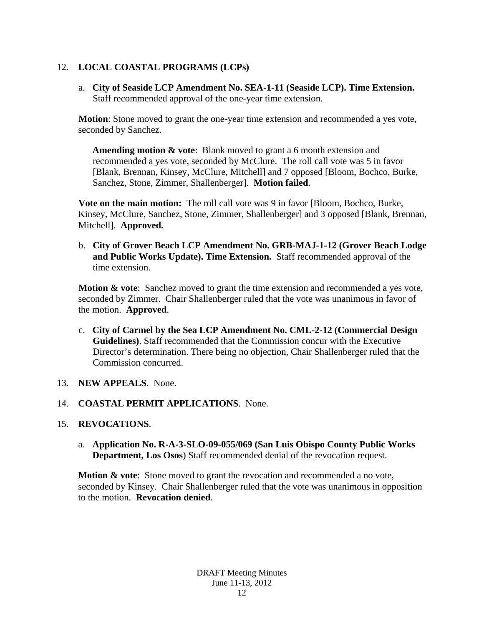# 12. **LOCAL COASTAL PROGRAMS (LCPs)**

a. **City of Seaside LCP Amendment No. SEA-1-11 (Seaside LCP). Time Extension.**  Staff recommended approval of the one-year time extension.

**Motion**: Stone moved to grant the one-year time extension and recommended a yes vote, seconded by Sanchez.

**Amending motion & vote**: Blank moved to grant a 6 month extension and recommended a yes vote, seconded by McClure. The roll call vote was 5 in favor [Blank, Brennan, Kinsey, McClure, Mitchell] and 7 opposed [Bloom, Bochco, Burke, Sanchez, Stone, Zimmer, Shallenberger]. **Motion failed**.

**Vote on the main motion:** The roll call vote was 9 in favor [Bloom, Bochco, Burke, Kinsey, McClure, Sanchez, Stone, Zimmer, Shallenberger] and 3 opposed [Blank, Brennan, Mitchell]. **Approved.** 

b. **City of Grover Beach LCP Amendment No. GRB-MAJ-1-12 (Grover Beach Lodge and Public Works Update). Time Extension.** Staff recommended approval of the time extension.

**Motion & vote**: Sanchez moved to grant the time extension and recommended a yes vote, seconded by Zimmer. Chair Shallenberger ruled that the vote was unanimous in favor of the motion. **Approved**.

c. **City of Carmel by the Sea LCP Amendment No. CML-2-12 (Commercial Design Guidelines)**. Staff recommended that the Commission concur with the Executive Director's determination. There being no objection, Chair Shallenberger ruled that the Commission concurred.

#### 13. **NEW APPEALS**. None.

14. **COASTAL PERMIT APPLICATIONS**. None.

## 15. **REVOCATIONS**.

a. **Application No. R-A-3-SLO-09-055/069 (San Luis Obispo County Public Works Department, Los Osos**) Staff recommended denial of the revocation request.

**Motion & vote**: Stone moved to grant the revocation and recommended a no vote, seconded by Kinsey. Chair Shallenberger ruled that the vote was unanimous in opposition to the motion. **Revocation denied**.